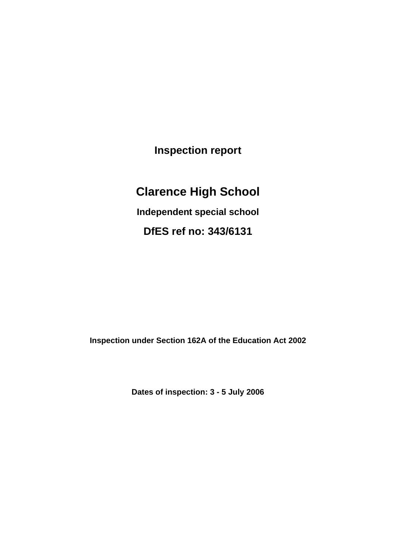**Inspection report**

# **Clarence High School**

**Independent special school**

**DfES ref no: 343/6131**

**Inspection under Section 162A of the Education Act 2002**

**Dates of inspection: 3 - 5 July 2006**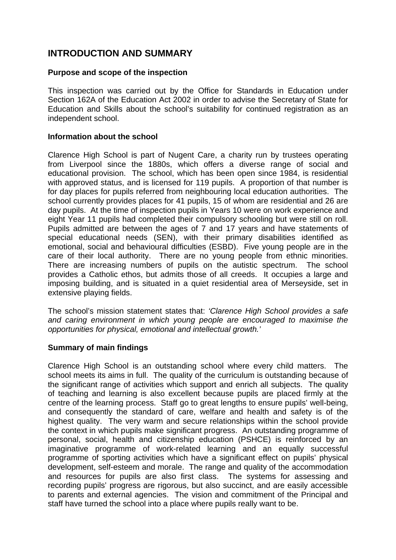### **INTRODUCTION AND SUMMARY**

### **Purpose and scope of the inspection**

This inspection was carried out by the Office for Standards in Education under Section 162A of the Education Act 2002 in order to advise the Secretary of State for Education and Skills about the school's suitability for continued registration as an independent school.

### **Information about the school**

Clarence High School is part of Nugent Care, a charity run by trustees operating from Liverpool since the 1880s, which offers a diverse range of social and educational provision. The school, which has been open since 1984, is residential with approved status, and is licensed for 119 pupils. A proportion of that number is for day places for pupils referred from neighbouring local education authorities. The school currently provides places for 41 pupils, 15 of whom are residential and 26 are day pupils. At the time of inspection pupils in Years 10 were on work experience and eight Year 11 pupils had completed their compulsory schooling but were still on roll. Pupils admitted are between the ages of 7 and 17 years and have statements of special educational needs (SEN), with their primary disabilities identified as emotional, social and behavioural difficulties (ESBD). Five young people are in the care of their local authority. There are no young people from ethnic minorities. There are increasing numbers of pupils on the autistic spectrum. The school provides a Catholic ethos, but admits those of all creeds. It occupies a large and imposing building, and is situated in a quiet residential area of Merseyside, set in extensive playing fields.

The school's mission statement states that: *'Clarence High School provides a safe and caring environment in which young people are encouraged to maximise the opportunities for physical, emotional and intellectual growth.'*

#### **Summary of main findings**

Clarence High School is an outstanding school where every child matters. The school meets its aims in full. The quality of the curriculum is outstanding because of the significant range of activities which support and enrich all subjects. The quality of teaching and learning is also excellent because pupils are placed firmly at the centre of the learning process. Staff go to great lengths to ensure pupils' well-being, and consequently the standard of care, welfare and health and safety is of the highest quality. The very warm and secure relationships within the school provide the context in which pupils make significant progress. An outstanding programme of personal, social, health and citizenship education (PSHCE) is reinforced by an imaginative programme of work-related learning and an equally successful programme of sporting activities which have a significant effect on pupils' physical development, self-esteem and morale. The range and quality of the accommodation and resources for pupils are also first class. The systems for assessing and recording pupils' progress are rigorous, but also succinct, and are easily accessible to parents and external agencies. The vision and commitment of the Principal and staff have turned the school into a place where pupils really want to be.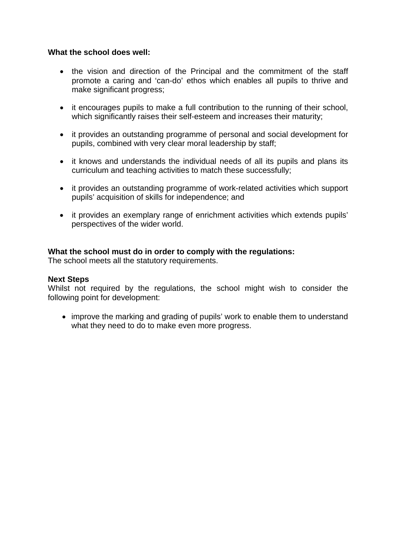#### **What the school does well:**

- the vision and direction of the Principal and the commitment of the staff promote a caring and 'can-do' ethos which enables all pupils to thrive and make significant progress;
- it encourages pupils to make a full contribution to the running of their school, which significantly raises their self-esteem and increases their maturity;
- it provides an outstanding programme of personal and social development for pupils, combined with very clear moral leadership by staff;
- it knows and understands the individual needs of all its pupils and plans its curriculum and teaching activities to match these successfully;
- it provides an outstanding programme of work-related activities which support pupils' acquisition of skills for independence; and
- it provides an exemplary range of enrichment activities which extends pupils' perspectives of the wider world.

#### **What the school must do in order to comply with the regulations:**

The school meets all the statutory requirements.

#### **Next Steps**

Whilst not required by the regulations, the school might wish to consider the following point for development:

• improve the marking and grading of pupils' work to enable them to understand what they need to do to make even more progress.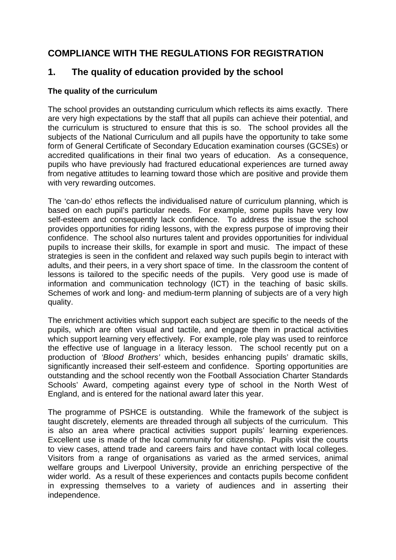# **COMPLIANCE WITH THE REGULATIONS FOR REGISTRATION**

### **1. The quality of education provided by the school**

### **The quality of the curriculum**

The school provides an outstanding curriculum which reflects its aims exactly. There are very high expectations by the staff that all pupils can achieve their potential, and the curriculum is structured to ensure that this is so. The school provides all the subjects of the National Curriculum and all pupils have the opportunity to take some form of General Certificate of Secondary Education examination courses (GCSEs) or accredited qualifications in their final two years of education. As a consequence, pupils who have previously had fractured educational experiences are turned away from negative attitudes to learning toward those which are positive and provide them with very rewarding outcomes.

The 'can-do' ethos reflects the individualised nature of curriculum planning, which is based on each pupil's particular needs. For example, some pupils have very Iow self-esteem and consequently lack confidence. To address the issue the school provides opportunities for riding lessons, with the express purpose of improving their confidence. The school also nurtures talent and provides opportunities for individual pupils to increase their skills, for example in sport and music. The impact of these strategies is seen in the confident and relaxed way such pupils begin to interact with adults, and their peers, in a very short space of time. In the classroom the content of lessons is tailored to the specific needs of the pupils. Very good use is made of information and communication technology (ICT) in the teaching of basic skills. Schemes of work and long- and medium-term planning of subjects are of a very high quality.

The enrichment activities which support each subject are specific to the needs of the pupils, which are often visual and tactile, and engage them in practical activities which support learning very effectively. For example, role play was used to reinforce the effective use of language in a literacy lesson. The school recently put on a production of *'Blood Brothers'* which, besides enhancing pupils' dramatic skills, significantly increased their self-esteem and confidence. Sporting opportunities are outstanding and the school recently won the Football Association Charter Standards Schools' Award, competing against every type of school in the North West of England, and is entered for the national award later this year.

The programme of PSHCE is outstanding. While the framework of the subject is taught discretely, elements are threaded through all subjects of the curriculum. This is also an area where practical activities support pupils' learning experiences. Excellent use is made of the local community for citizenship. Pupils visit the courts to view cases, attend trade and careers fairs and have contact with local colleges. Visitors from a range of organisations as varied as the armed services, animal welfare groups and Liverpool University, provide an enriching perspective of the wider world. As a result of these experiences and contacts pupils become confident in expressing themselves to a variety of audiences and in asserting their independence.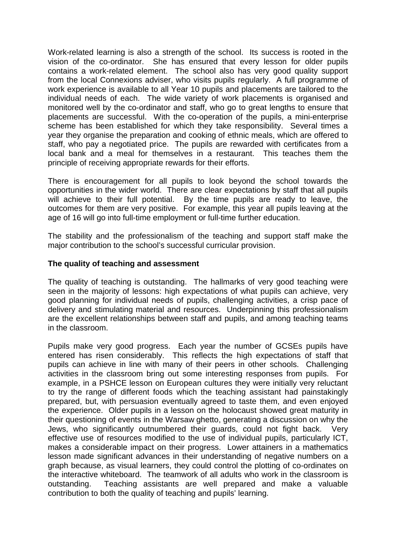Work-related learning is also a strength of the school. Its success is rooted in the vision of the co-ordinator. She has ensured that every lesson for older pupils contains a work-related element. The school also has very good quality support from the local Connexions adviser, who visits pupils regularly. A full programme of work experience is available to all Year 10 pupils and placements are tailored to the individual needs of each. The wide variety of work placements is organised and monitored well by the co-ordinator and staff, who go to great lengths to ensure that placements are successful. With the co-operation of the pupils, a mini-enterprise scheme has been established for which they take responsibility. Several times a year they organise the preparation and cooking of ethnic meals, which are offered to staff, who pay a negotiated price. The pupils are rewarded with certificates from a local bank and a meal for themselves in a restaurant. This teaches them the principle of receiving appropriate rewards for their efforts.

There is encouragement for all pupils to look beyond the school towards the opportunities in the wider world. There are clear expectations by staff that all pupils will achieve to their full potential. By the time pupils are ready to leave, the outcomes for them are very positive. For example, this year all pupils leaving at the age of 16 will go into full-time employment or full-time further education.

The stability and the professionalism of the teaching and support staff make the major contribution to the school's successful curricular provision.

#### **The quality of teaching and assessment**

The quality of teaching is outstanding. The hallmarks of very good teaching were seen in the majority of lessons: high expectations of what pupils can achieve, very good planning for individual needs of pupils, challenging activities, a crisp pace of delivery and stimulating material and resources. Underpinning this professionalism are the excellent relationships between staff and pupils, and among teaching teams in the classroom.

Pupils make very good progress. Each year the number of GCSEs pupils have entered has risen considerably. This reflects the high expectations of staff that pupils can achieve in line with many of their peers in other schools. Challenging activities in the classroom bring out some interesting responses from pupils. For example, in a PSHCE lesson on European cultures they were initially very reluctant to try the range of different foods which the teaching assistant had painstakingly prepared, but, with persuasion eventually agreed to taste them, and even enjoyed the experience. Older pupils in a lesson on the holocaust showed great maturity in their questioning of events in the Warsaw ghetto, generating a discussion on why the Jews, who significantly outnumbered their guards, could not fight back. Very effective use of resources modified to the use of individual pupils, particularly ICT, makes a considerable impact on their progress. Lower attainers in a mathematics lesson made significant advances in their understanding of negative numbers on a graph because, as visual learners, they could control the plotting of co-ordinates on the interactive whiteboard. The teamwork of all adults who work in the classroom is outstanding. Teaching assistants are well prepared and make a valuable contribution to both the quality of teaching and pupils' learning.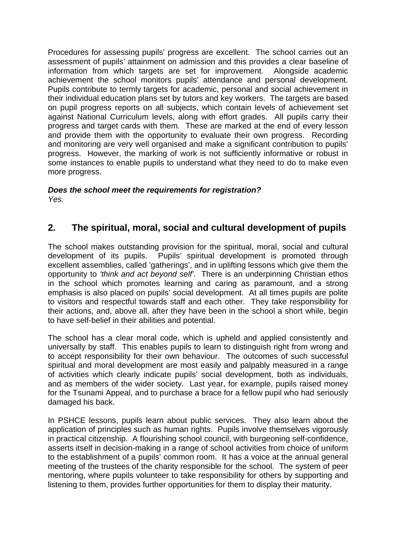Procedures for assessing pupils' progress are excellent. The school carries out an assessment of pupils' attainment on admission and this provides a clear baseline of information from which targets are set for improvement. Alongside academic achievement the school monitors pupils' attendance and personal development. Pupils contribute to termly targets for academic, personal and social achievement in their individual education plans set by tutors and key workers. The targets are based on pupil progress reports on all subjects, which contain levels of achievement set against National Curriculum levels, along with effort grades. All pupils carry their progress and target cards with them. These are marked at the end of every lesson and provide them with the opportunity to evaluate their own progress. Recording and monitoring are very well organised and make a significant contribution to pupils' progress. However, the marking of work is not sufficiently informative or robust in some instances to enable pupils to understand what they need to do to make even more progress.

#### *Does the school meet the requirements for registration? Yes.*

# **2. The spiritual, moral, social and cultural development of pupils**

The school makes outstanding provision for the spiritual, moral, social and cultural development of its pupils. Pupils' spiritual development is promoted through excellent assemblies, called 'gatherings', and in uplifting lessons which give them the opportunity to *'think and act beyond self'*. There is an underpinning Christian ethos in the school which promotes learning and caring as paramount, and a strong emphasis is also placed on pupils' social development. At all times pupils are polite to visitors and respectful towards staff and each other. They take responsibility for their actions, and, above all, after they have been in the school a short while, begin to have self-belief in their abilities and potential.

The school has a clear moral code, which is upheld and applied consistently and universally by staff. This enables pupils to learn to distinguish right from wrong and to accept responsibility for their own behaviour. The outcomes of such successful spiritual and moral development are most easily and palpably measured in a range of activities which clearly indicate pupils' social development, both as individuals, and as members of the wider society. Last year, for example, pupils raised money for the Tsunami Appeal, and to purchase a brace for a fellow pupil who had seriously damaged his back.

In PSHCE lessons, pupils learn about public services. They also learn about the application of principles such as human rights. Pupils involve themselves vigorously in practical citizenship. A flourishing school council, with burgeoning self-confidence, asserts itself in decision-making in a range of school activities from choice of uniform to the establishment of a pupils' common room. It has a voice at the annual general meeting of the trustees of the charity responsible for the school. The system of peer mentoring, where pupils volunteer to take responsibility for others by supporting and listening to them, provides further opportunities for them to display their maturity.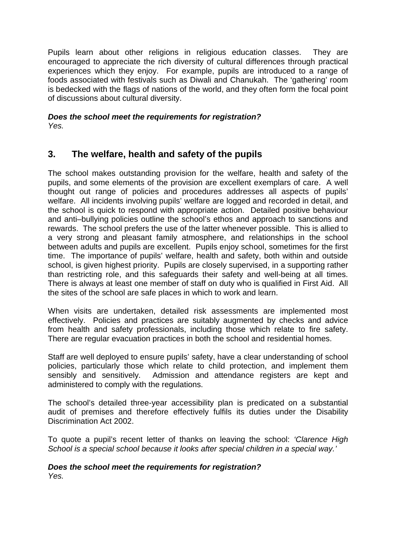Pupils learn about other religions in religious education classes. They are encouraged to appreciate the rich diversity of cultural differences through practical experiences which they enjoy. For example, pupils are introduced to a range of foods associated with festivals such as Diwali and Chanukah. The 'gathering' room is bedecked with the flags of nations of the world, and they often form the focal point of discussions about cultural diversity.

*Does the school meet the requirements for registration? Yes.*

### **3. The welfare, health and safety of the pupils**

The school makes outstanding provision for the welfare, health and safety of the pupils, and some elements of the provision are excellent exemplars of care. A well thought out range of policies and procedures addresses all aspects of pupils' welfare. All incidents involving pupils' welfare are logged and recorded in detail, and the school is quick to respond with appropriate action. Detailed positive behaviour and anti–bullying policies outline the school's ethos and approach to sanctions and rewards. The school prefers the use of the latter whenever possible. This is allied to a very strong and pleasant family atmosphere, and relationships in the school between adults and pupils are excellent. Pupils enjoy school, sometimes for the first time. The importance of pupils' welfare, health and safety, both within and outside school, is given highest priority. Pupils are closely supervised, in a supporting rather than restricting role, and this safeguards their safety and well-being at all times. There is always at least one member of staff on duty who is qualified in First Aid. All the sites of the school are safe places in which to work and learn.

When visits are undertaken, detailed risk assessments are implemented most effectively. Policies and practices are suitably augmented by checks and advice from health and safety professionals, including those which relate to fire safety. There are regular evacuation practices in both the school and residential homes.

Staff are well deployed to ensure pupils' safety, have a clear understanding of school policies, particularly those which relate to child protection, and implement them sensibly and sensitively. Admission and attendance registers are kept and administered to comply with the regulations.

The school's detailed three-year accessibility plan is predicated on a substantial audit of premises and therefore effectively fulfils its duties under the Disability Discrimination Act 2002.

To quote a pupil's recent letter of thanks on leaving the school: *'Clarence High School is a special school because it looks after special children in a special way.'*

#### *Does the school meet the requirements for registration? Yes.*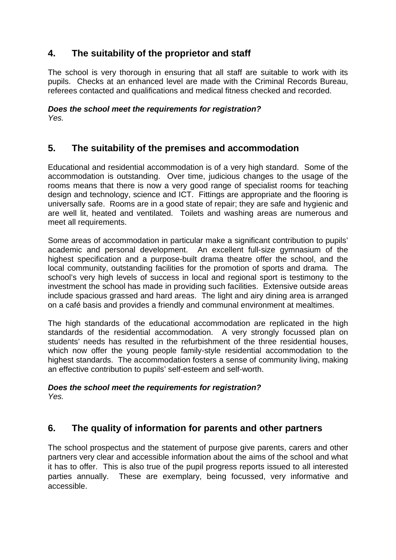# **4. The suitability of the proprietor and staff**

The school is very thorough in ensuring that all staff are suitable to work with its pupils. Checks at an enhanced level are made with the Criminal Records Bureau, referees contacted and qualifications and medical fitness checked and recorded.

*Does the school meet the requirements for registration? Yes.*

### **5. The suitability of the premises and accommodation**

Educational and residential accommodation is of a very high standard. Some of the accommodation is outstanding. Over time, judicious changes to the usage of the rooms means that there is now a very good range of specialist rooms for teaching design and technology, science and ICT. Fittings are appropriate and the flooring is universally safe. Rooms are in a good state of repair; they are safe and hygienic and are well lit, heated and ventilated. Toilets and washing areas are numerous and meet all requirements.

Some areas of accommodation in particular make a significant contribution to pupils' academic and personal development. An excellent full-size gymnasium of the highest specification and a purpose-built drama theatre offer the school, and the local community, outstanding facilities for the promotion of sports and drama. The school's very high levels of success in local and regional sport is testimony to the investment the school has made in providing such facilities. Extensive outside areas include spacious grassed and hard areas. The light and airy dining area is arranged on a café basis and provides a friendly and communal environment at mealtimes.

The high standards of the educational accommodation are replicated in the high standards of the residential accommodation. A very strongly focussed plan on students' needs has resulted in the refurbishment of the three residential houses, which now offer the young people family-style residential accommodation to the highest standards. The accommodation fosters a sense of community living, making an effective contribution to pupils' self-esteem and self-worth.

#### *Does the school meet the requirements for registration? Yes.*

### **6. The quality of information for parents and other partners**

The school prospectus and the statement of purpose give parents, carers and other partners very clear and accessible information about the aims of the school and what it has to offer. This is also true of the pupil progress reports issued to all interested parties annually. These are exemplary, being focussed, very informative and accessible.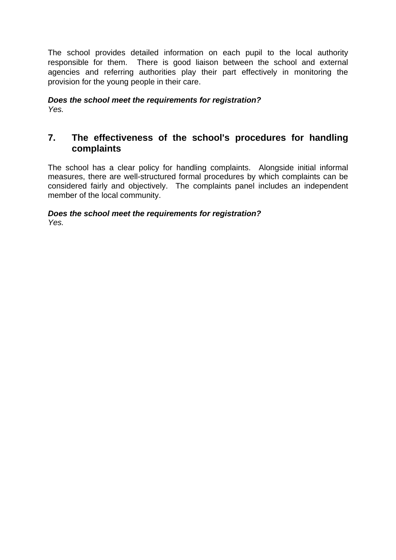The school provides detailed information on each pupil to the local authority responsible for them. There is good liaison between the school and external agencies and referring authorities play their part effectively in monitoring the provision for the young people in their care.

*Does the school meet the requirements for registration? Yes.*

### **7. The effectiveness of the school's procedures for handling complaints**

The school has a clear policy for handling complaints. Alongside initial informal measures, there are well-structured formal procedures by which complaints can be considered fairly and objectively. The complaints panel includes an independent member of the local community.

#### *Does the school meet the requirements for registration? Yes.*